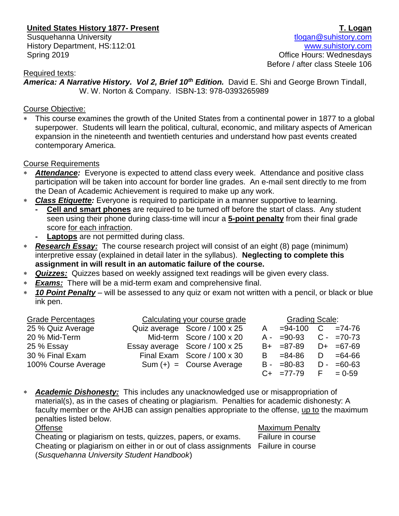# **United States History 1877- Present**

Susquehanna University History Department, HS:112:01 Spring 2019

**T. Logan** [tlogan@suhistory.com](mailto:tlogan@suhistory.com) [www.suhistory.com](http://www.suhistory.com/) Office Hours: Wednesdays Before / after class Steele 106

## Required texts:

*America: A Narrative History. Vol 2, Brief 10th Edition.* David E. Shi and George Brown Tindall, W. W. Norton & Company. ISBN-13: 978-0393265989

### Course Objective:

 This course examines the growth of the United States from a continental power in 1877 to a global superpower. Students will learn the political, cultural, economic, and military aspects of American expansion in the nineteenth and twentieth centuries and understand how past events created contemporary America.

### Course Requirements

- *Attendance:* Everyone is expected to attend class every week. Attendance and positive class participation will be taken into account for border line grades. An e-mail sent directly to me from the Dean of Academic Achievement is required to make up any work.
- *Class Etiquette:* Everyone is required to participate in a manner supportive to learning*.*
	- **- Cell and smart phones** are required to be turned off before the start of class. Any student seen using their phone during class-time will incur a **5-point penalty** from their final grade score for each infraction.
		- **Laptops** are not permitted during class.
- *Research Essay:* The course research project will consist of an eight (8) page (minimum) interpretive essay (explained in detail later in the syllabus). **Neglecting to complete this assignment in will result in an automatic failure of the course.**
- **Quizzes:** Quizzes based on weekly assigned text readings will be given every class.
- *Exams:* There will be a mid-term exam and comprehensive final.
- *10 Point Penalty* will be assessed to any quiz or exam not written with a pencil, or black or blue ink pen.

| <b>Grade Percentages</b> | Calculating your course grade |                                |    | Grading Scale:             |       |             |
|--------------------------|-------------------------------|--------------------------------|----|----------------------------|-------|-------------|
| 25 % Quiz Average        |                               | Quiz average Score / 100 x 25  | A  | $= 94 - 100$ C $= 74 - 76$ |       |             |
| 20 % Mid-Term            |                               | Mid-term Score / 100 x 20      |    | $A - = 90 - 93$            |       | $C - 70-73$ |
| 25 % Essay               |                               | Essay average Score / 100 x 25 |    | $B+ = 87-89$               |       | $D+ =67-69$ |
| 30 % Final Exam          |                               | Final Exam Score / 100 x 30    | B. | =84-86                     | D     | $= 64 - 66$ |
| 100% Course Average      |                               | $Sum (+) = Course Average$     |    | $B - =80-83$               | $D -$ | $=60-63$    |
|                          |                               |                                |    | $C_{+}$ =77-79             |       | $F = 0.59$  |

 *Academic Dishonesty:* This includes any unacknowledged use or misappropriation of material(s), as in the cases of cheating or plagiarism. Penalties for academic dishonesty: A faculty member or the AHJB can assign penalties appropriate to the offense, up to the maximum penalties listed below.

| Offense                                                                           | <b>Maximum Penalty</b> |
|-----------------------------------------------------------------------------------|------------------------|
| Cheating or plagiarism on tests, quizzes, papers, or exams.                       | Failure in course      |
| Cheating or plagiarism on either in or out of class assignments Failure in course |                        |
| (Susquehanna University Student Handbook)                                         |                        |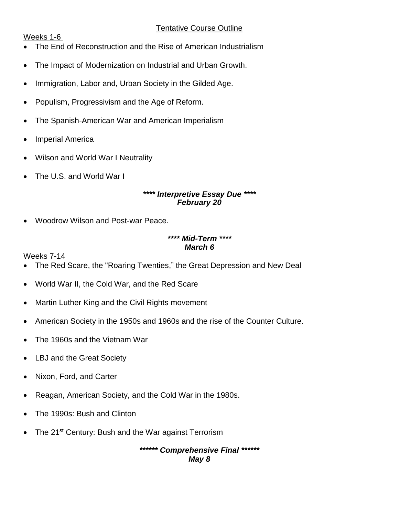# Tentative Course Outline

## Weeks 1-6

- The End of Reconstruction and the Rise of American Industrialism
- The Impact of Modernization on Industrial and Urban Growth.
- Immigration, Labor and, Urban Society in the Gilded Age.
- Populism, Progressivism and the Age of Reform.
- The Spanish-American War and American Imperialism
- Imperial America
- Wilson and World War I Neutrality
- The U.S. and World War I

### *\*\*\*\* Interpretive Essay Due \*\*\*\* February 20*

• Woodrow Wilson and Post-war Peace.

### *\*\*\*\* Mid-Term \*\*\*\* March 6*

Weeks 7-14

- The Red Scare, the "Roaring Twenties," the Great Depression and New Deal
- World War II, the Cold War, and the Red Scare
- Martin Luther King and the Civil Rights movement
- American Society in the 1950s and 1960s and the rise of the Counter Culture.
- The 1960s and the Vietnam War
- LBJ and the Great Society
- Nixon, Ford, and Carter
- Reagan, American Society, and the Cold War in the 1980s.
- The 1990s: Bush and Clinton
- The 21<sup>st</sup> Century: Bush and the War against Terrorism

*\*\*\*\*\*\* Comprehensive Final \*\*\*\*\*\* May 8*